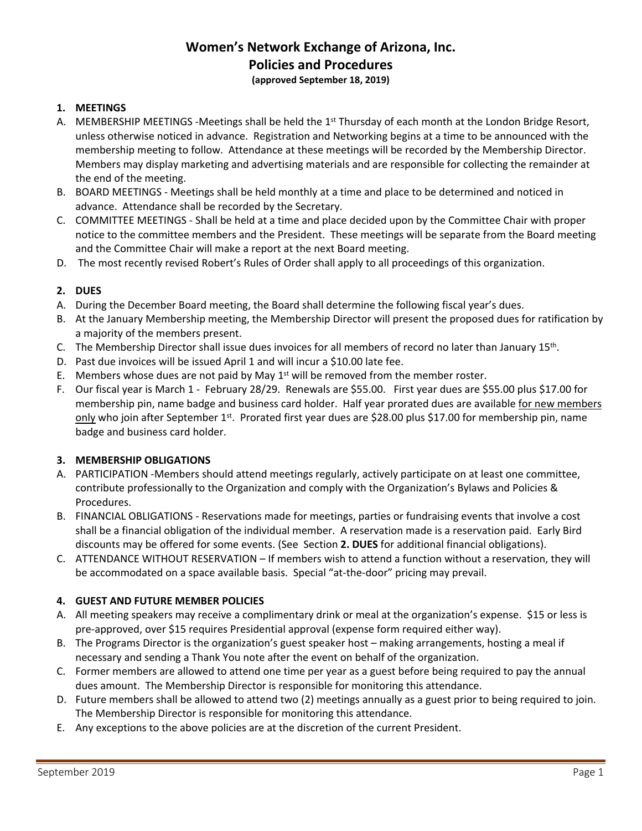# **Women's Network Exchange of Arizona, Inc. Policies and Procedures (approved September 18, 2019)**

#### **1. MEETINGS**

- A. MEMBERSHIP MEETINGS -Meetings shall be held the  $1<sup>st</sup>$  Thursday of each month at the London Bridge Resort, unless otherwise noticed in advance. Registration and Networking begins at a time to be announced with the membership meeting to follow. Attendance at these meetings will be recorded by the Membership Director. Members may display marketing and advertising materials and are responsible for collecting the remainder at the end of the meeting.
- B. BOARD MEETINGS Meetings shall be held monthly at a time and place to be determined and noticed in advance. Attendance shall be recorded by the Secretary.
- C. COMMITTEE MEETINGS Shall be held at a time and place decided upon by the Committee Chair with proper notice to the committee members and the President. These meetings will be separate from the Board meeting and the Committee Chair will make a report at the next Board meeting.
- D. The most recently revised Robert's Rules of Order shall apply to all proceedings of this organization.

#### **2. DUES**

- A. During the December Board meeting, the Board shall determine the following fiscal year's dues.
- B. At the January Membership meeting, the Membership Director will present the proposed dues for ratification by a majority of the members present.
- C. The Membership Director shall issue dues invoices for all members of record no later than January 15<sup>th</sup>.
- D. Past due invoices will be issued April 1 and will incur a \$10.00 late fee.
- E. Members whose dues are not paid by May  $1<sup>st</sup>$  will be removed from the member roster.
- F. Our fiscal year is March 1 February 28/29. Renewals are \$55.00. First year dues are \$55.00 plus \$17.00 for membership pin, name badge and business card holder. Half year prorated dues are available for new members only who join after September 1<sup>st</sup>. Prorated first year dues are \$28.00 plus \$17.00 for membership pin, name badge and business card holder.

#### **3. MEMBERSHIP OBLIGATIONS**

- A. PARTICIPATION -Members should attend meetings regularly, actively participate on at least one committee, contribute professionally to the Organization and comply with the Organization's Bylaws and Policies & Procedures.
- B. FINANCIAL OBLIGATIONS Reservations made for meetings, parties or fundraising events that involve a cost shall be a financial obligation of the individual member. A reservation made is a reservation paid. Early Bird discounts may be offered for some events. (See Section **2. DUES** for additional financial obligations).
- C. ATTENDANCE WITHOUT RESERVATION If members wish to attend a function without a reservation, they will be accommodated on a space available basis. Special "at-the-door" pricing may prevail.

#### **4. GUEST AND FUTURE MEMBER POLICIES**

- A. All meeting speakers may receive a complimentary drink or meal at the organization's expense. \$15 or less is pre-approved, over \$15 requires Presidential approval (expense form required either way).
- B. The Programs Director is the organization's guest speaker host making arrangements, hosting a meal if necessary and sending a Thank You note after the event on behalf of the organization.
- C. Former members are allowed to attend one time per year as a guest before being required to pay the annual dues amount. The Membership Director is responsible for monitoring this attendance.
- D. Future members shall be allowed to attend two (2) meetings annually as a guest prior to being required to join. The Membership Director is responsible for monitoring this attendance.
- E. Any exceptions to the above policies are at the discretion of the current President.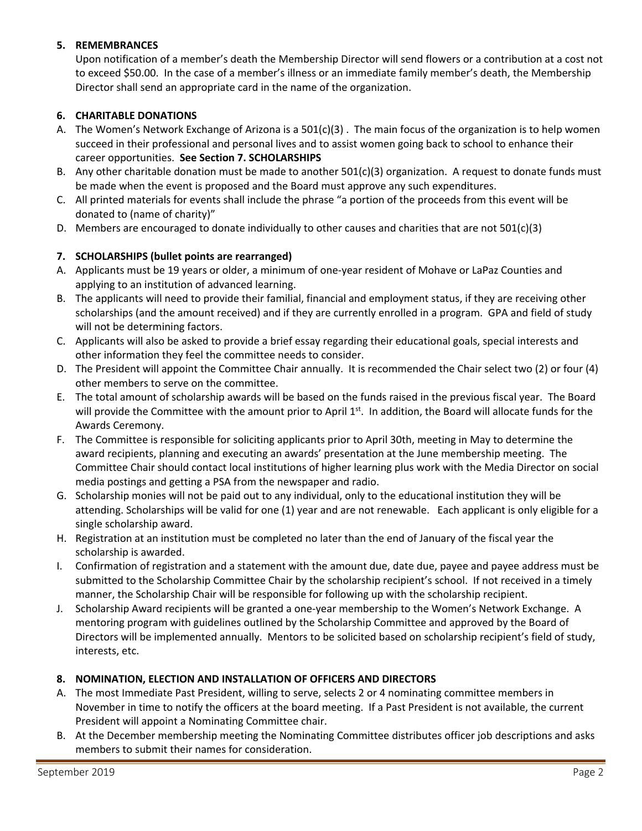## **5. REMEMBRANCES**

Upon notification of a member's death the Membership Director will send flowers or a contribution at a cost not to exceed \$50.00. In the case of a member's illness or an immediate family member's death, the Membership Director shall send an appropriate card in the name of the organization.

# **6. CHARITABLE DONATIONS**

- A. The Women's Network Exchange of Arizona is a 501(c)(3) . The main focus of the organization is to help women succeed in their professional and personal lives and to assist women going back to school to enhance their career opportunities. **See Section 7. SCHOLARSHIPS**
- B. Any other charitable donation must be made to another 501(c)(3) organization. A request to donate funds must be made when the event is proposed and the Board must approve any such expenditures.
- C. All printed materials for events shall include the phrase "a portion of the proceeds from this event will be donated to (name of charity)"
- D. Members are encouraged to donate individually to other causes and charities that are not  $501(c)(3)$

# **7. SCHOLARSHIPS (bullet points are rearranged)**

- A. Applicants must be 19 years or older, a minimum of one-year resident of Mohave or LaPaz Counties and applying to an institution of advanced learning.
- B. The applicants will need to provide their familial, financial and employment status, if they are receiving other scholarships (and the amount received) and if they are currently enrolled in a program. GPA and field of study will not be determining factors.
- C. Applicants will also be asked to provide a brief essay regarding their educational goals, special interests and other information they feel the committee needs to consider.
- D. The President will appoint the Committee Chair annually. It is recommended the Chair select two (2) or four (4) other members to serve on the committee.
- E. The total amount of scholarship awards will be based on the funds raised in the previous fiscal year. The Board will provide the Committee with the amount prior to April 1st. In addition, the Board will allocate funds for the Awards Ceremony.
- F. The Committee is responsible for soliciting applicants prior to April 30th, meeting in May to determine the award recipients, planning and executing an awards' presentation at the June membership meeting. The Committee Chair should contact local institutions of higher learning plus work with the Media Director on social media postings and getting a PSA from the newspaper and radio.
- G. Scholarship monies will not be paid out to any individual, only to the educational institution they will be attending. Scholarships will be valid for one (1) year and are not renewable. Each applicant is only eligible for a single scholarship award.
- H. Registration at an institution must be completed no later than the end of January of the fiscal year the scholarship is awarded.
- I. Confirmation of registration and a statement with the amount due, date due, payee and payee address must be submitted to the Scholarship Committee Chair by the scholarship recipient's school. If not received in a timely manner, the Scholarship Chair will be responsible for following up with the scholarship recipient.
- J. Scholarship Award recipients will be granted a one-year membership to the Women's Network Exchange. A mentoring program with guidelines outlined by the Scholarship Committee and approved by the Board of Directors will be implemented annually. Mentors to be solicited based on scholarship recipient's field of study, interests, etc.

## **8. NOMINATION, ELECTION AND INSTALLATION OF OFFICERS AND DIRECTORS**

- A. The most Immediate Past President, willing to serve, selects 2 or 4 nominating committee members in November in time to notify the officers at the board meeting. If a Past President is not available, the current President will appoint a Nominating Committee chair.
- B. At the December membership meeting the Nominating Committee distributes officer job descriptions and asks members to submit their names for consideration.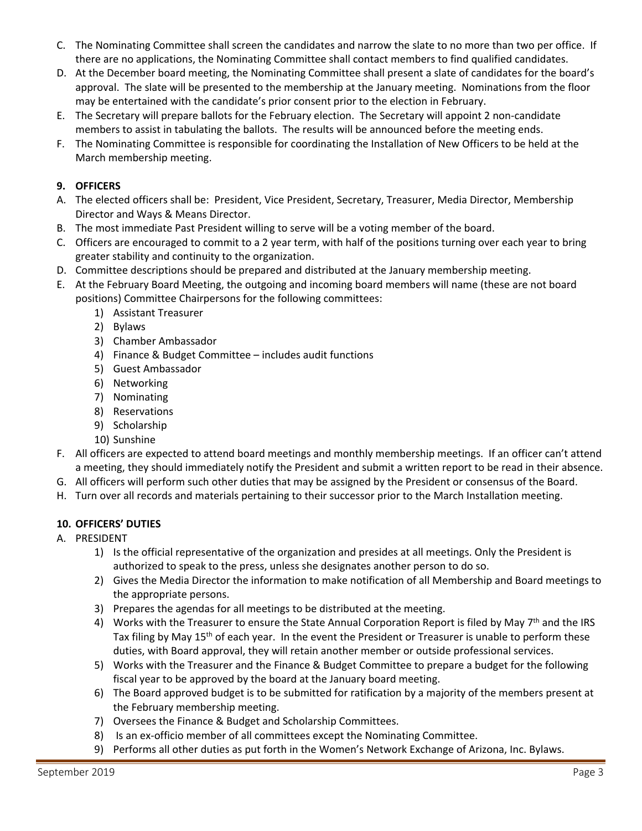- C. The Nominating Committee shall screen the candidates and narrow the slate to no more than two per office. If there are no applications, the Nominating Committee shall contact members to find qualified candidates.
- D. At the December board meeting, the Nominating Committee shall present a slate of candidates for the board's approval. The slate will be presented to the membership at the January meeting. Nominations from the floor may be entertained with the candidate's prior consent prior to the election in February.
- E. The Secretary will prepare ballots for the February election. The Secretary will appoint 2 non-candidate members to assist in tabulating the ballots. The results will be announced before the meeting ends.
- F. The Nominating Committee is responsible for coordinating the Installation of New Officers to be held at the March membership meeting.

# **9. OFFICERS**

- A. The elected officers shall be: President, Vice President, Secretary, Treasurer, Media Director, Membership Director and Ways & Means Director.
- B. The most immediate Past President willing to serve will be a voting member of the board.
- C. Officers are encouraged to commit to a 2 year term, with half of the positions turning over each year to bring greater stability and continuity to the organization.
- D. Committee descriptions should be prepared and distributed at the January membership meeting.
- E. At the February Board Meeting, the outgoing and incoming board members will name (these are not board positions) Committee Chairpersons for the following committees:
	- 1) Assistant Treasurer
	- 2) Bylaws
	- 3) Chamber Ambassador
	- 4) Finance & Budget Committee includes audit functions
	- 5) Guest Ambassador
	- 6) Networking
	- 7) Nominating
	- 8) Reservations
	- 9) Scholarship
	- 10) Sunshine
- F. All officers are expected to attend board meetings and monthly membership meetings. If an officer can't attend a meeting, they should immediately notify the President and submit a written report to be read in their absence.
- G. All officers will perform such other duties that may be assigned by the President or consensus of the Board.
- H. Turn over all records and materials pertaining to their successor prior to the March Installation meeting.

## **10. OFFICERS' DUTIES**

- A. PRESIDENT
	- 1) Is the official representative of the organization and presides at all meetings. Only the President is authorized to speak to the press, unless she designates another person to do so.
	- 2) Gives the Media Director the information to make notification of all Membership and Board meetings to the appropriate persons.
	- 3) Prepares the agendas for all meetings to be distributed at the meeting.
	- 4) Works with the Treasurer to ensure the State Annual Corporation Report is filed by May 7<sup>th</sup> and the IRS Tax filing by May 15<sup>th</sup> of each year. In the event the President or Treasurer is unable to perform these duties, with Board approval, they will retain another member or outside professional services.
	- 5) Works with the Treasurer and the Finance & Budget Committee to prepare a budget for the following fiscal year to be approved by the board at the January board meeting.
	- 6) The Board approved budget is to be submitted for ratification by a majority of the members present at the February membership meeting.
	- 7) Oversees the Finance & Budget and Scholarship Committees.
	- 8) Is an ex-officio member of all committees except the Nominating Committee.
	- 9) Performs all other duties as put forth in the Women's Network Exchange of Arizona, Inc. Bylaws.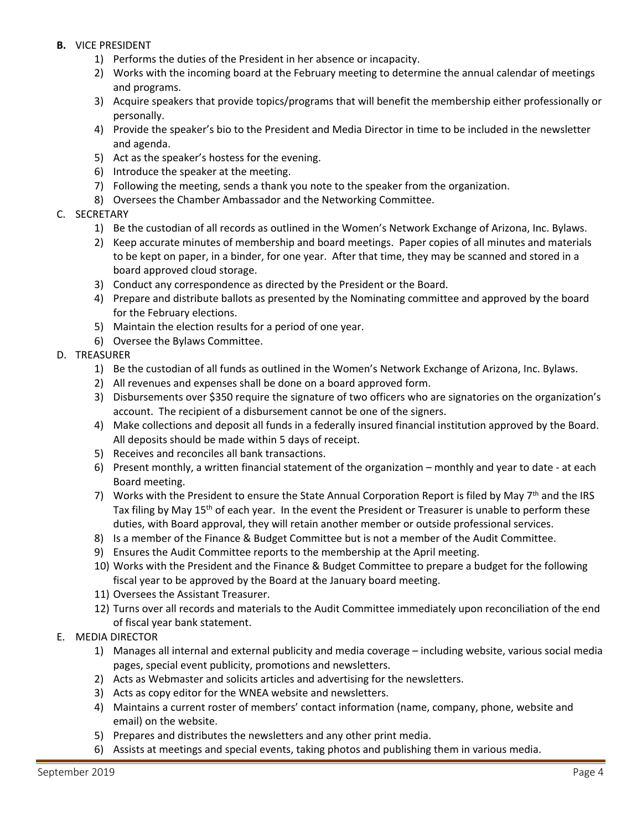- **B.** VICE PRESIDENT
	- 1) Performs the duties of the President in her absence or incapacity.
	- 2) Works with the incoming board at the February meeting to determine the annual calendar of meetings and programs.
	- 3) Acquire speakers that provide topics/programs that will benefit the membership either professionally or personally.
	- 4) Provide the speaker's bio to the President and Media Director in time to be included in the newsletter and agenda.
	- 5) Act as the speaker's hostess for the evening.
	- 6) Introduce the speaker at the meeting.
	- 7) Following the meeting, sends a thank you note to the speaker from the organization.
	- 8) Oversees the Chamber Ambassador and the Networking Committee.
- C. SECRETARY
	- 1) Be the custodian of all records as outlined in the Women's Network Exchange of Arizona, Inc. Bylaws.
	- 2) Keep accurate minutes of membership and board meetings. Paper copies of all minutes and materials to be kept on paper, in a binder, for one year. After that time, they may be scanned and stored in a board approved cloud storage.
	- 3) Conduct any correspondence as directed by the President or the Board.
	- 4) Prepare and distribute ballots as presented by the Nominating committee and approved by the board for the February elections.
	- 5) Maintain the election results for a period of one year.
	- 6) Oversee the Bylaws Committee.
- D. TREASURER
	- 1) Be the custodian of all funds as outlined in the Women's Network Exchange of Arizona, Inc. Bylaws.
	- 2) All revenues and expenses shall be done on a board approved form.
	- 3) Disbursements over \$350 require the signature of two officers who are signatories on the organization's account. The recipient of a disbursement cannot be one of the signers.
	- 4) Make collections and deposit all funds in a federally insured financial institution approved by the Board. All deposits should be made within 5 days of receipt.
	- 5) Receives and reconciles all bank transactions.
	- 6) Present monthly, a written financial statement of the organization monthly and year to date at each Board meeting.
	- 7) Works with the President to ensure the State Annual Corporation Report is filed by May 7<sup>th</sup> and the IRS Tax filing by May 15<sup>th</sup> of each year. In the event the President or Treasurer is unable to perform these duties, with Board approval, they will retain another member or outside professional services.
	- 8) Is a member of the Finance & Budget Committee but is not a member of the Audit Committee.
	- 9) Ensures the Audit Committee reports to the membership at the April meeting.
	- 10) Works with the President and the Finance & Budget Committee to prepare a budget for the following fiscal year to be approved by the Board at the January board meeting.
	- 11) Oversees the Assistant Treasurer.
	- 12) Turns over all records and materials to the Audit Committee immediately upon reconciliation of the end of fiscal year bank statement.
- E. MEDIA DIRECTOR
	- 1) Manages all internal and external publicity and media coverage including website, various social media pages, special event publicity, promotions and newsletters.
	- 2) Acts as Webmaster and solicits articles and advertising for the newsletters.
	- 3) Acts as copy editor for the WNEA website and newsletters.
	- 4) Maintains a current roster of members' contact information (name, company, phone, website and email) on the website.
	- 5) Prepares and distributes the newsletters and any other print media.
	- 6) Assists at meetings and special events, taking photos and publishing them in various media.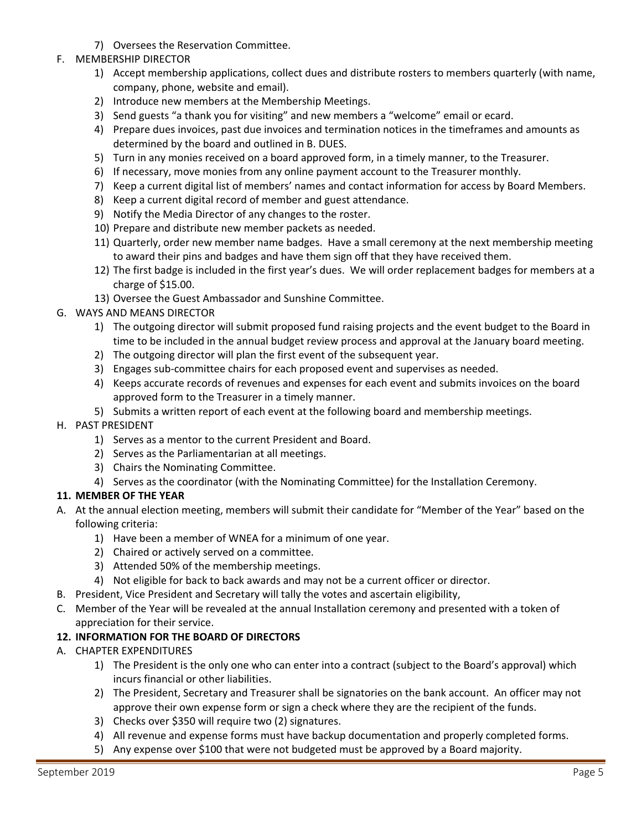- 7) Oversees the Reservation Committee.
- F. MEMBERSHIP DIRECTOR
	- 1) Accept membership applications, collect dues and distribute rosters to members quarterly (with name, company, phone, website and email).
	- 2) Introduce new members at the Membership Meetings.
	- 3) Send guests "a thank you for visiting" and new members a "welcome" email or ecard.
	- 4) Prepare dues invoices, past due invoices and termination notices in the timeframes and amounts as determined by the board and outlined in B. DUES.
	- 5) Turn in any monies received on a board approved form, in a timely manner, to the Treasurer.
	- 6) If necessary, move monies from any online payment account to the Treasurer monthly.
	- 7) Keep a current digital list of members' names and contact information for access by Board Members.
	- 8) Keep a current digital record of member and guest attendance.
	- 9) Notify the Media Director of any changes to the roster.
	- 10) Prepare and distribute new member packets as needed.
	- 11) Quarterly, order new member name badges. Have a small ceremony at the next membership meeting to award their pins and badges and have them sign off that they have received them.
	- 12) The first badge is included in the first year's dues. We will order replacement badges for members at a charge of \$15.00.
	- 13) Oversee the Guest Ambassador and Sunshine Committee.
- G. WAYS AND MEANS DIRECTOR
	- 1) The outgoing director will submit proposed fund raising projects and the event budget to the Board in time to be included in the annual budget review process and approval at the January board meeting.
	- 2) The outgoing director will plan the first event of the subsequent year.
	- 3) Engages sub-committee chairs for each proposed event and supervises as needed.
	- 4) Keeps accurate records of revenues and expenses for each event and submits invoices on the board approved form to the Treasurer in a timely manner.
	- 5) Submits a written report of each event at the following board and membership meetings.
- H. PAST PRESIDENT
	- 1) Serves as a mentor to the current President and Board.
	- 2) Serves as the Parliamentarian at all meetings.
	- 3) Chairs the Nominating Committee.
	- 4) Serves as the coordinator (with the Nominating Committee) for the Installation Ceremony.

## **11. MEMBER OF THE YEAR**

- A. At the annual election meeting, members will submit their candidate for "Member of the Year" based on the following criteria:
	- 1) Have been a member of WNEA for a minimum of one year.
	- 2) Chaired or actively served on a committee.
	- 3) Attended 50% of the membership meetings.
	- 4) Not eligible for back to back awards and may not be a current officer or director.
- B. President, Vice President and Secretary will tally the votes and ascertain eligibility,
- C. Member of the Year will be revealed at the annual Installation ceremony and presented with a token of appreciation for their service.

## **12. INFORMATION FOR THE BOARD OF DIRECTORS**

- A. CHAPTER EXPENDITURES
	- 1) The President is the only one who can enter into a contract (subject to the Board's approval) which incurs financial or other liabilities.
	- 2) The President, Secretary and Treasurer shall be signatories on the bank account. An officer may not approve their own expense form or sign a check where they are the recipient of the funds.
	- 3) Checks over \$350 will require two (2) signatures.
	- 4) All revenue and expense forms must have backup documentation and properly completed forms.
	- 5) Any expense over \$100 that were not budgeted must be approved by a Board majority.